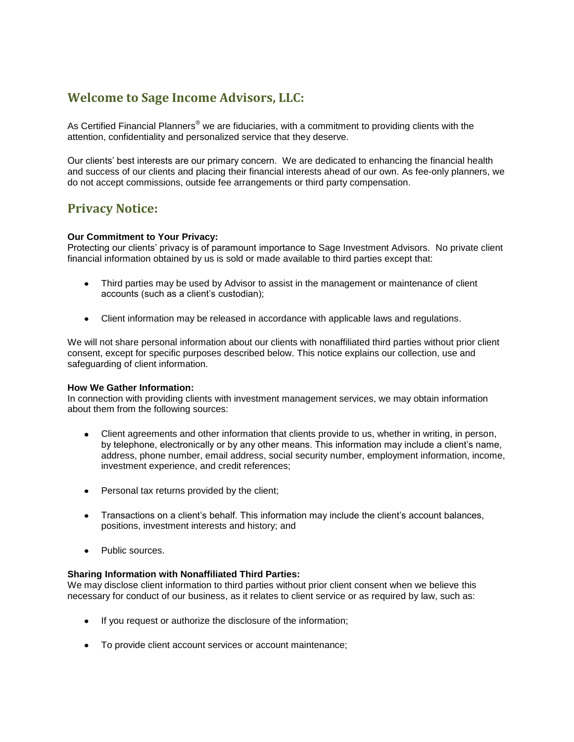# **Welcome to Sage Income Advisors, LLC:**

As Certified Financial Planners<sup>®</sup> we are fiduciaries, with a commitment to providing clients with the attention, confidentiality and personalized service that they deserve.

Our clients' best interests are our primary concern. We are dedicated to enhancing the financial health and success of our clients and placing their financial interests ahead of our own. As fee-only planners, we do not accept commissions, outside fee arrangements or third party compensation.

# **Privacy Notice:**

## **Our Commitment to Your Privacy:**

Protecting our clients' privacy is of paramount importance to Sage Investment Advisors. No private client financial information obtained by us is sold or made available to third parties except that:

- Third parties may be used by Advisor to assist in the management or maintenance of client accounts (such as a client's custodian);
- $\bullet$ Client information may be released in accordance with applicable laws and regulations.

We will not share personal information about our clients with nonaffiliated third parties without prior client consent, except for specific purposes described below. This notice explains our collection, use and safeguarding of client information.

#### **How We Gather Information:**

In connection with providing clients with investment management services, we may obtain information about them from the following sources:

- Client agreements and other information that clients provide to us, whether in writing, in person,  $\bullet$ by telephone, electronically or by any other means. This information may include a client's name, address, phone number, email address, social security number, employment information, income, investment experience, and credit references;
- Personal tax returns provided by the client;
- Transactions on a client's behalf. This information may include the client's account balances, positions, investment interests and history; and
- Public sources.

#### **Sharing Information with Nonaffiliated Third Parties:**

We may disclose client information to third parties without prior client consent when we believe this necessary for conduct of our business, as it relates to client service or as required by law, such as:

- If you request or authorize the disclosure of the information;
- To provide client account services or account maintenance;